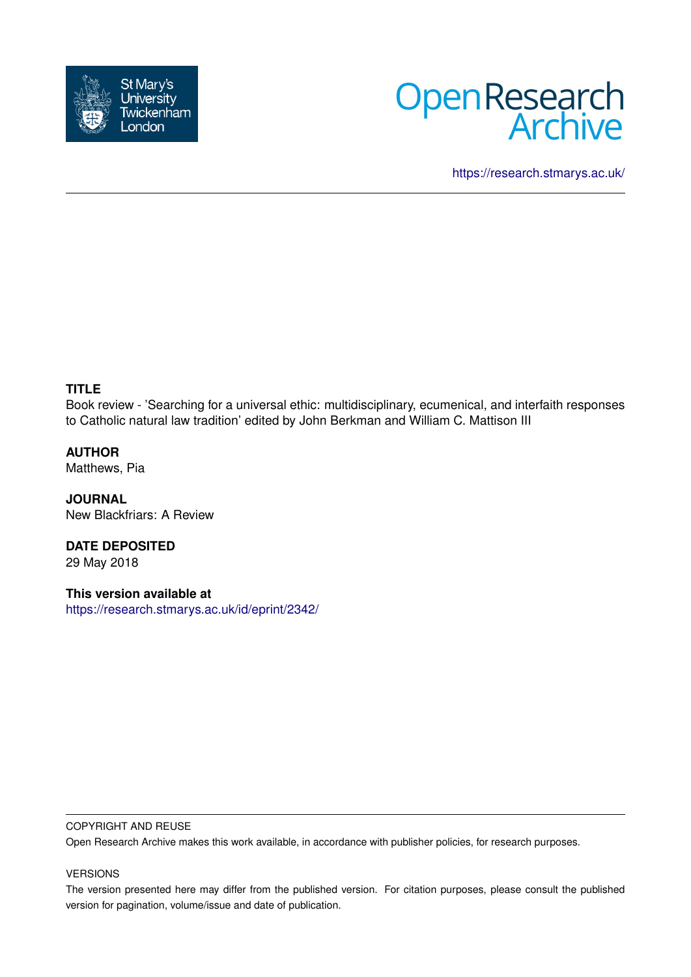



<https://research.stmarys.ac.uk/>

## **TITLE**

Book review - 'Searching for a universal ethic: multidisciplinary, ecumenical, and interfaith responses to Catholic natural law tradition' edited by John Berkman and William C. Mattison III

**AUTHOR** Matthews, Pia

**JOURNAL** New Blackfriars: A Review

**DATE DEPOSITED** 29 May 2018

**This version available at** <https://research.stmarys.ac.uk/id/eprint/2342/>

## COPYRIGHT AND REUSE

Open Research Archive makes this work available, in accordance with publisher policies, for research purposes.

## VERSIONS

The version presented here may differ from the published version. For citation purposes, please consult the published version for pagination, volume/issue and date of publication.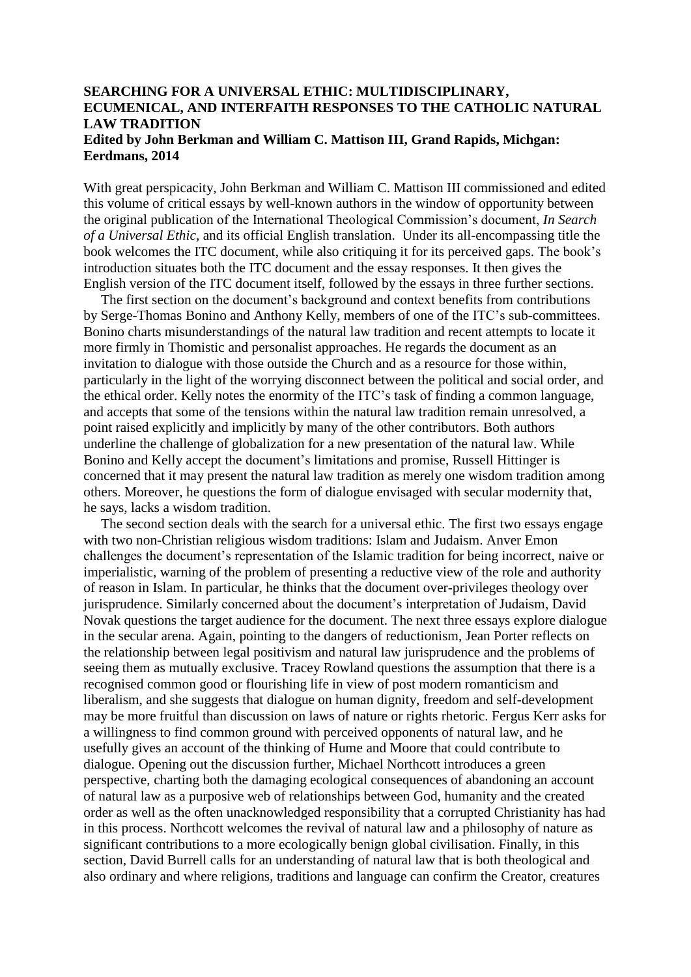## **SEARCHING FOR A UNIVERSAL ETHIC: MULTIDISCIPLINARY, ECUMENICAL, AND INTERFAITH RESPONSES TO THE CATHOLIC NATURAL LAW TRADITION Edited by John Berkman and William C. Mattison III, Grand Rapids, Michgan: Eerdmans, 2014**

With great perspicacity, John Berkman and William C. Mattison III commissioned and edited this volume of critical essays by well-known authors in the window of opportunity between the original publication of the International Theological Commission's document, *In Search of a Universal Ethic,* and its official English translation. Under its all-encompassing title the book welcomes the ITC document, while also critiquing it for its perceived gaps. The book's introduction situates both the ITC document and the essay responses. It then gives the English version of the ITC document itself, followed by the essays in three further sections.

 The first section on the document's background and context benefits from contributions by Serge-Thomas Bonino and Anthony Kelly, members of one of the ITC's sub-committees. Bonino charts misunderstandings of the natural law tradition and recent attempts to locate it more firmly in Thomistic and personalist approaches. He regards the document as an invitation to dialogue with those outside the Church and as a resource for those within, particularly in the light of the worrying disconnect between the political and social order, and the ethical order. Kelly notes the enormity of the ITC's task of finding a common language, and accepts that some of the tensions within the natural law tradition remain unresolved, a point raised explicitly and implicitly by many of the other contributors. Both authors underline the challenge of globalization for a new presentation of the natural law. While Bonino and Kelly accept the document's limitations and promise, Russell Hittinger is concerned that it may present the natural law tradition as merely one wisdom tradition among others. Moreover, he questions the form of dialogue envisaged with secular modernity that, he says, lacks a wisdom tradition.

 The second section deals with the search for a universal ethic. The first two essays engage with two non-Christian religious wisdom traditions: Islam and Judaism. Anver Emon challenges the document's representation of the Islamic tradition for being incorrect, naive or imperialistic, warning of the problem of presenting a reductive view of the role and authority of reason in Islam. In particular, he thinks that the document over-privileges theology over jurisprudence. Similarly concerned about the document's interpretation of Judaism, David Novak questions the target audience for the document. The next three essays explore dialogue in the secular arena. Again, pointing to the dangers of reductionism, Jean Porter reflects on the relationship between legal positivism and natural law jurisprudence and the problems of seeing them as mutually exclusive. Tracey Rowland questions the assumption that there is a recognised common good or flourishing life in view of post modern romanticism and liberalism, and she suggests that dialogue on human dignity, freedom and self-development may be more fruitful than discussion on laws of nature or rights rhetoric. Fergus Kerr asks for a willingness to find common ground with perceived opponents of natural law, and he usefully gives an account of the thinking of Hume and Moore that could contribute to dialogue. Opening out the discussion further, Michael Northcott introduces a green perspective, charting both the damaging ecological consequences of abandoning an account of natural law as a purposive web of relationships between God, humanity and the created order as well as the often unacknowledged responsibility that a corrupted Christianity has had in this process. Northcott welcomes the revival of natural law and a philosophy of nature as significant contributions to a more ecologically benign global civilisation. Finally, in this section, David Burrell calls for an understanding of natural law that is both theological and also ordinary and where religions, traditions and language can confirm the Creator, creatures